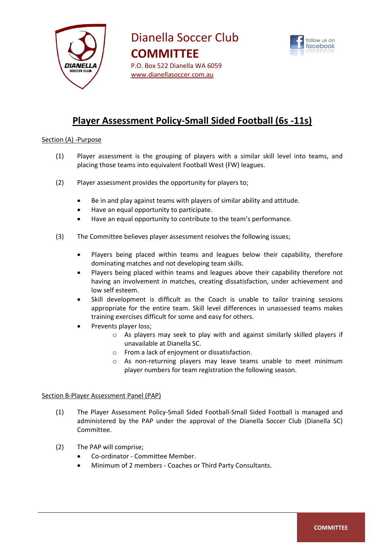



# **Player Assessment Policy-Small Sided Football (6s -11s)**

## Section (A) -Purpose

- (1) Player assessment is the grouping of players with a similar skill level into teams, and placing those teams into equivalent Football West (FW) leagues.
- (2) Player assessment provides the opportunity for players to;
	- Be in and play against teams with players of similar ability and attitude.
	- Have an equal opportunity to participate.
	- Have an equal opportunity to contribute to the team's performance.
- (3) The Committee believes player assessment resolves the following issues;
	- Players being placed within teams and leagues below their capability, therefore dominating matches and not developing team skills.
	- Players being placed within teams and leagues above their capability therefore not having an involvement in matches, creating dissatisfaction, under achievement and low self esteem.
	- Skill development is difficult as the Coach is unable to tailor training sessions appropriate for the entire team. Skill level differences in unassessed teams makes training exercises difficult for some and easy for others.
	- Prevents player loss;
		- o As players may seek to play with and against similarly skilled players if unavailable at Dianella SC.
		- o From a lack of enjoyment or dissatisfaction.
		- o As non-returning players may leave teams unable to meet minimum player numbers for team registration the following season.

### Section B-Player Assessment Panel (PAP)

- (1) The Player Assessment Policy-Small Sided Football-Small Sided Football is managed and administered by the PAP under the approval of the Dianella Soccer Club (Dianella SC) Committee.
- (2) The PAP will comprise;
	- Co-ordinator Committee Member.
	- Minimum of 2 members Coaches or Third Party Consultants.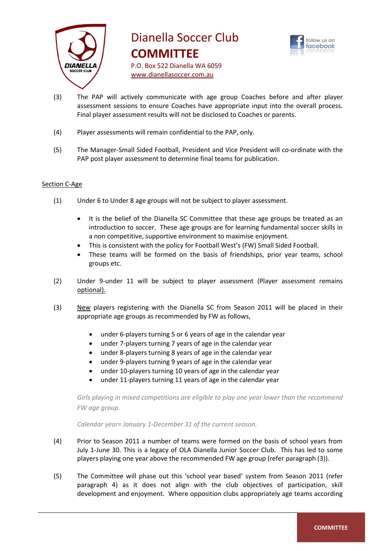



- (3) The PAP will actively communicate with age group Coaches before and after player assessment sessions to ensure Coaches have appropriate input into the overall process. Final player assessment results will not be disclosed to Coaches or parents.
- (4) Player assessments will remain confidential to the PAP, only.
- (5) The Manager-Small Sided Football, President and Vice President will co-ordinate with the PAP post player assessment to determine final teams for publication.

### Section C-Age

- (1) Under 6 to Under 8 age groups will not be subject to player assessment.
	- It is the belief of the Dianella SC Committee that these age groups be treated as an introduction to soccer. These age groups are for learning fundamental soccer skills in a non competitive, supportive environment to maximise enjoyment.
	- This is consistent with the policy for Football West's (FW) Small Sided Football.
	- These teams will be formed on the basis of friendships, prior year teams, school groups etc.
- (2) Under 9-under 11 will be subject to player assessment (Player assessment remains optional).
- (3) New players registering with the Dianella SC from Season 2011 will be placed in their appropriate age groups as recommended by FW as follows,
	- under 6-players turning 5 or 6 years of age in the calendar year
	- under 7-players turning 7 years of age in the calendar year
	- under 8-players turning 8 years of age in the calendar year
	- under 9-players turning 9 years of age in the calendar year
	- under 10-players turning 10 years of age in the calendar year
	- under 11-players turning 11 years of age in the calendar year

*Girls playing in mixed competitions are eligible to play one year lower than the recommend FW age group.*

*Calendar year= January 1-December 31 of the current season.*

- (4) Prior to Season 2011 a number of teams were formed on the basis of school years from July 1-June 30. This is a legacy of OLA Dianella Junior Soccer Club. This has led to some players playing one year above the recommended FW age group (refer paragraph (3)).
- (5) The Committee will phase out this 'school year based' system from Season 2011 (refer paragraph 4) as it does not align with the club objectives of participation, skill development and enjoyment. Where opposition clubs appropriately age teams according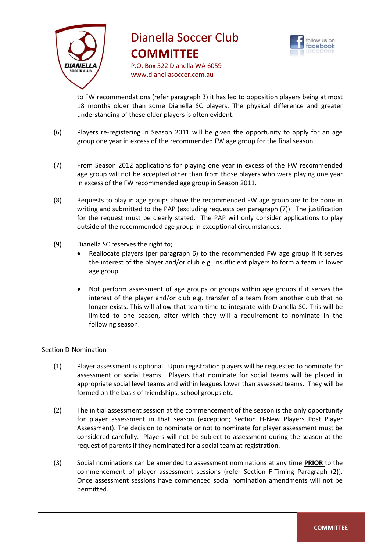



to FW recommendations (refer paragraph 3) it has led to opposition players being at most 18 months older than some Dianella SC players. The physical difference and greater understanding of these older players is often evident.

- (6) Players re-registering in Season 2011 will be given the opportunity to apply for an age group one year in excess of the recommended FW age group for the final season.
- (7) From Season 2012 applications for playing one year in excess of the FW recommended age group will not be accepted other than from those players who were playing one year in excess of the FW recommended age group in Season 2011.
- (8) Requests to play in age groups above the recommended FW age group are to be done in writing and submitted to the PAP (excluding requests per paragraph (7)). The justification for the request must be clearly stated. The PAP will only consider applications to play outside of the recommended age group in exceptional circumstances.
- (9) Dianella SC reserves the right to;
	- Reallocate players (per paragraph 6) to the recommended FW age group if it serves the interest of the player and/or club e.g. insufficient players to form a team in lower age group.
	- Not perform assessment of age groups or groups within age groups if it serves the interest of the player and/or club e.g. transfer of a team from another club that no longer exists. This will allow that team time to integrate with Dianella SC. This will be limited to one season, after which they will a requirement to nominate in the following season.

### Section D-Nomination

- (1) Player assessment is optional. Upon registration players will be requested to nominate for assessment or social teams. Players that nominate for social teams will be placed in appropriate social level teams and within leagues lower than assessed teams. They will be formed on the basis of friendships, school groups etc.
- (2) The initial assessment session at the commencement of the season is the only opportunity for player assessment in that season (exception; Section H-New Players Post Player Assessment). The decision to nominate or not to nominate for player assessment must be considered carefully. Players will not be subject to assessment during the season at the request of parents if they nominated for a social team at registration.
- (3) Social nominations can be amended to assessment nominations at any time **PRIOR** to the commencement of player assessment sessions (refer Section F-Timing Paragraph (2)). Once assessment sessions have commenced social nomination amendments will not be permitted.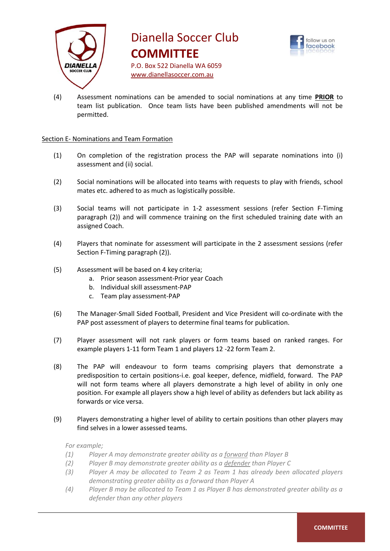



(4) Assessment nominations can be amended to social nominations at any time **PRIOR** to team list publication. Once team lists have been published amendments will not be permitted.

## Section E- Nominations and Team Formation

- (1) On completion of the registration process the PAP will separate nominations into (i) assessment and (ii) social.
- (2) Social nominations will be allocated into teams with requests to play with friends, school mates etc. adhered to as much as logistically possible.
- (3) Social teams will not participate in 1-2 assessment sessions (refer Section F-Timing paragraph (2)) and will commence training on the first scheduled training date with an assigned Coach.
- (4) Players that nominate for assessment will participate in the 2 assessment sessions (refer Section F-Timing paragraph (2)).
- (5) Assessment will be based on 4 key criteria;
	- a. Prior season assessment-Prior year Coach
	- b. Individual skill assessment-PAP
	- c. Team play assessment-PAP
- (6) The Manager-Small Sided Football, President and Vice President will co-ordinate with the PAP post assessment of players to determine final teams for publication.
- (7) Player assessment will not rank players or form teams based on ranked ranges. For example players 1-11 form Team 1 and players 12 -22 form Team 2.
- (8) The PAP will endeavour to form teams comprising players that demonstrate a predisposition to certain positions-i.e. goal keeper, defence, midfield, forward. The PAP will not form teams where all players demonstrate a high level of ability in only one position. For example all players show a high level of ability as defenders but lack ability as forwards or vice versa.
- (9) Players demonstrating a higher level of ability to certain positions than other players may find selves in a lower assessed teams.

*For example;*

- *(1) Player A may demonstrate greater ability as a forward than Player B*
- *(2) Player B may demonstrate greater ability as a defender than Player C*
- *(3) Player A may be allocated to Team 2 as Team 1 has already been allocated players demonstrating greater ability as a forward than Player A*
- *(4) Player B may be allocated to Team 1 as Player B has demonstrated greater ability as a defender than any other players*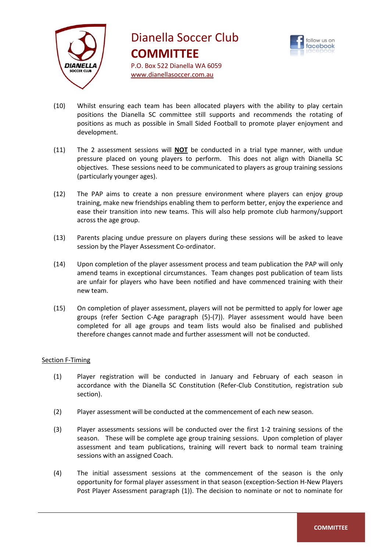



- (10) Whilst ensuring each team has been allocated players with the ability to play certain positions the Dianella SC committee still supports and recommends the rotating of positions as much as possible in Small Sided Football to promote player enjoyment and development.
- (11) The 2 assessment sessions will **NOT** be conducted in a trial type manner, with undue pressure placed on young players to perform. This does not align with Dianella SC objectives. These sessions need to be communicated to players as group training sessions (particularly younger ages).
- (12) The PAP aims to create a non pressure environment where players can enjoy group training, make new friendships enabling them to perform better, enjoy the experience and ease their transition into new teams. This will also help promote club harmony/support across the age group.
- (13) Parents placing undue pressure on players during these sessions will be asked to leave session by the Player Assessment Co-ordinator.
- (14) Upon completion of the player assessment process and team publication the PAP will only amend teams in exceptional circumstances. Team changes post publication of team lists are unfair for players who have been notified and have commenced training with their new team.
- (15) On completion of player assessment, players will not be permitted to apply for lower age groups (refer Section C-Age paragraph (5)-(7)). Player assessment would have been completed for all age groups and team lists would also be finalised and published therefore changes cannot made and further assessment will not be conducted.

# Section F-Timing

- (1) Player registration will be conducted in January and February of each season in accordance with the Dianella SC Constitution (Refer-Club Constitution, registration sub section).
- (2) Player assessment will be conducted at the commencement of each new season.
- (3) Player assessments sessions will be conducted over the first 1-2 training sessions of the season. These will be complete age group training sessions. Upon completion of player assessment and team publications, training will revert back to normal team training sessions with an assigned Coach.
- (4) The initial assessment sessions at the commencement of the season is the only opportunity for formal player assessment in that season (exception-Section H-New Players Post Player Assessment paragraph (1)). The decision to nominate or not to nominate for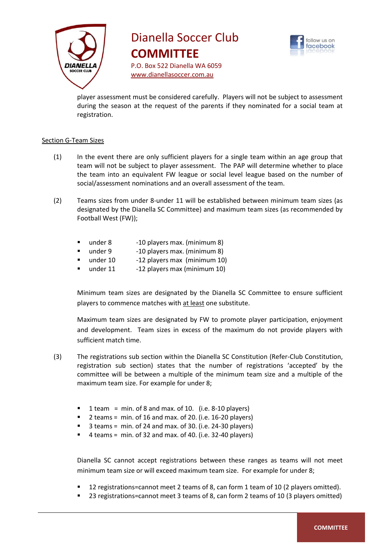



player assessment must be considered carefully. Players will not be subject to assessment during the season at the request of the parents if they nominated for a social team at registration.

## Section G-Team Sizes

- (1) In the event there are only sufficient players for a single team within an age group that team will not be subject to player assessment. The PAP will determine whether to place the team into an equivalent FW league or social level league based on the number of social/assessment nominations and an overall assessment of the team.
- (2) Teams sizes from under 8-under 11 will be established between minimum team sizes (as designated by the Dianella SC Committee) and maximum team sizes (as recommended by Football West (FW));
	- under 8 -10 players max. (minimum 8)
	- under 9 -10 players max. (minimum 8)
	- under 10 -12 players max (minimum 10)
	- under 11 -12 players max (minimum 10)

Minimum team sizes are designated by the Dianella SC Committee to ensure sufficient players to commence matches with at least one substitute.

Maximum team sizes are designated by FW to promote player participation, enjoyment and development. Team sizes in excess of the maximum do not provide players with sufficient match time.

- (3) The registrations sub section within the Dianella SC Constitution (Refer-Club Constitution, registration sub section) states that the number of registrations 'accepted' by the committee will be between a multiple of the minimum team size and a multiple of the maximum team size. For example for under 8;
	- 1 team = min. of 8 and max. of 10. (i.e.  $8-10$  players)
	- 2 teams = min. of 16 and max. of 20. (i.e. 16-20 players)
	- 3 teams = min. of 24 and max. of 30. (i.e. 24-30 players)
	- 4 teams = min. of 32 and max. of 40. (i.e. 32-40 players)

Dianella SC cannot accept registrations between these ranges as teams will not meet minimum team size or will exceed maximum team size. For example for under 8;

- 12 registrations=cannot meet 2 teams of 8, can form 1 team of 10 (2 players omitted).
- 23 registrations=cannot meet 3 teams of 8, can form 2 teams of 10 (3 players omitted)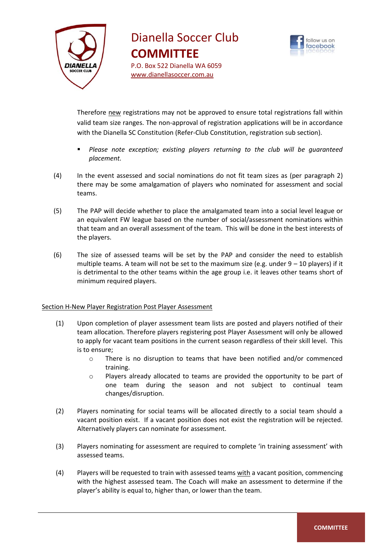



Therefore new registrations may not be approved to ensure total registrations fall within valid team size ranges. The non-approval of registration applications will be in accordance with the Dianella SC Constitution (Refer-Club Constitution, registration sub section).

- *Please note exception; existing players returning to the club will be guaranteed placement.*
- (4) In the event assessed and social nominations do not fit team sizes as (per paragraph 2) there may be some amalgamation of players who nominated for assessment and social teams.
- (5) The PAP will decide whether to place the amalgamated team into a social level league or an equivalent FW league based on the number of social/assessment nominations within that team and an overall assessment of the team. This will be done in the best interests of the players.
- (6) The size of assessed teams will be set by the PAP and consider the need to establish multiple teams. A team will not be set to the maximum size (e.g. under  $9 - 10$  players) if it is detrimental to the other teams within the age group i.e. it leaves other teams short of minimum required players.

# Section H-New Player Registration Post Player Assessment

- (1) Upon completion of player assessment team lists are posted and players notified of their team allocation. Therefore players registering post Player Assessment will only be allowed to apply for vacant team positions in the current season regardless of their skill level. This is to ensure;
	- o There is no disruption to teams that have been notified and/or commenced training.
	- $\circ$  Players already allocated to teams are provided the opportunity to be part of one team during the season and not subject to continual team changes/disruption.
- (2) Players nominating for social teams will be allocated directly to a social team should a vacant position exist. If a vacant position does not exist the registration will be rejected. Alternatively players can nominate for assessment.
- (3) Players nominating for assessment are required to complete 'in training assessment' with assessed teams.
- (4) Players will be requested to train with assessed teams with a vacant position, commencing with the highest assessed team. The Coach will make an assessment to determine if the player's ability is equal to, higher than, or lower than the team.